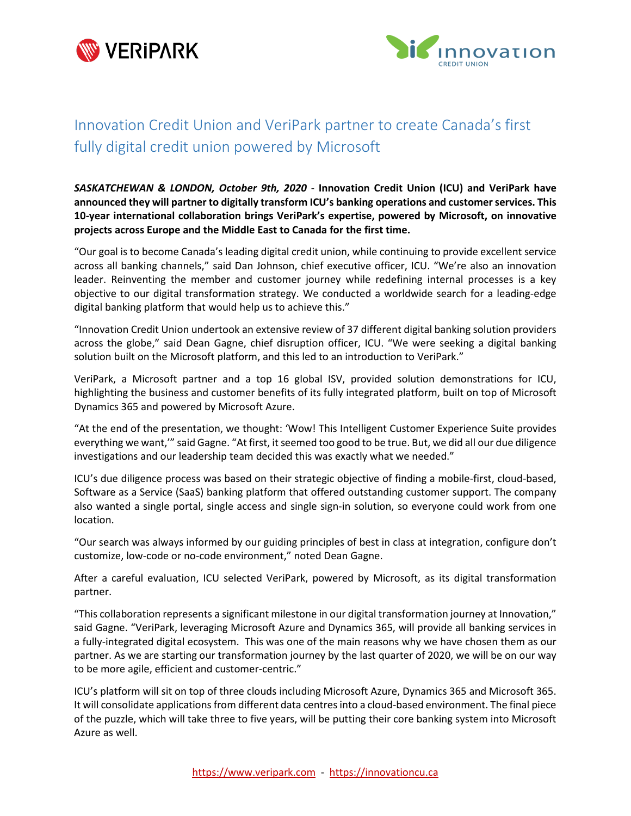



# Innovation Credit Union and VeriPark partner to create Canada's first fully digital credit union powered by Microsoft

*SASKATCHEWAN & LONDON, October 9th, 2020* - **Innovation Credit Union (ICU) and VeriPark have announced they will partner to digitally transform ICU's banking operations and customer services. This 10-year international collaboration brings VeriPark's expertise, powered by Microsoft, on innovative projects across Europe and the Middle East to Canada for the first time.**

"Our goal is to become Canada's leading digital credit union, while continuing to provide excellent service across all banking channels," said Dan Johnson, chief executive officer, ICU. "We're also an innovation leader. Reinventing the member and customer journey while redefining internal processes is a key objective to our digital transformation strategy. We conducted a worldwide search for a leading-edge digital banking platform that would help us to achieve this."

"Innovation Credit Union undertook an extensive review of 37 different digital banking solution providers across the globe," said Dean Gagne, chief disruption officer, ICU. "We were seeking a digital banking solution built on the Microsoft platform, and this led to an introduction to VeriPark."

VeriPark, a Microsoft partner and a top 16 global ISV, provided solution demonstrations for ICU, highlighting the business and customer benefits of its fully integrated platform, built on top of Microsoft Dynamics 365 and powered by Microsoft Azure.

"At the end of the presentation, we thought: 'Wow! This Intelligent Customer Experience Suite provides everything we want,'" said Gagne. "At first, it seemed too good to be true. But, we did all our due diligence investigations and our leadership team decided this was exactly what we needed."

ICU's due diligence process was based on their strategic objective of finding a mobile-first, cloud-based, Software as a Service (SaaS) banking platform that offered outstanding customer support. The company also wanted a single portal, single access and single sign-in solution, so everyone could work from one location.

"Our search was always informed by our guiding principles of best in class at integration, configure don't customize, low-code or no-code environment," noted Dean Gagne.

After a careful evaluation, ICU selected VeriPark, powered by Microsoft, as its digital transformation partner.

"This collaboration represents a significant milestone in our digital transformation journey at Innovation," said Gagne. "VeriPark, leveraging Microsoft Azure and Dynamics 365, will provide all banking services in a fully-integrated digital ecosystem. This was one of the main reasons why we have chosen them as our partner. As we are starting our transformation journey by the last quarter of 2020, we will be on our way to be more agile, efficient and customer-centric."

ICU's platform will sit on top of three clouds including Microsoft Azure, Dynamics 365 and Microsoft 365. It will consolidate applications from different data centresinto a cloud-based environment. The final piece of the puzzle, which will take three to five years, will be putting their core banking system into Microsoft Azure as well.